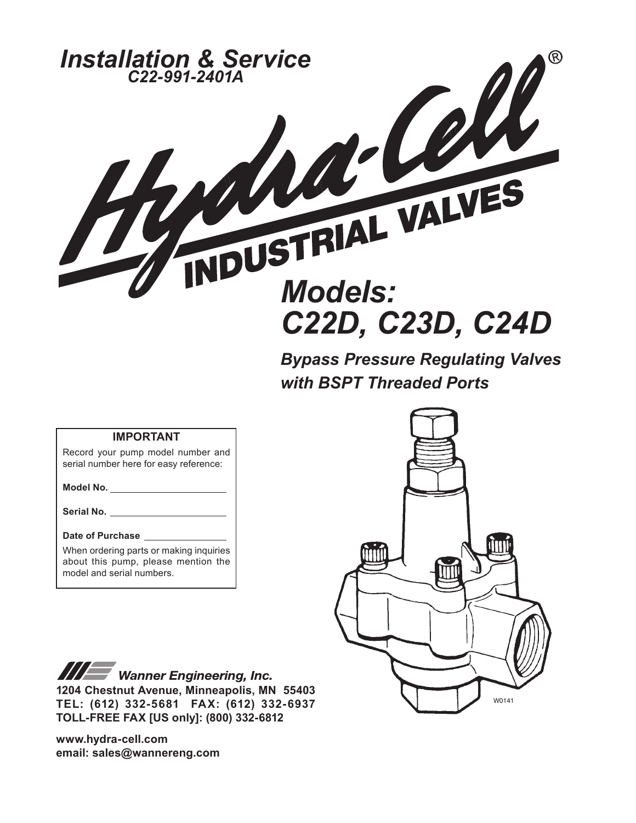

*Bypass Pressure Regulating Valves with BSPT Threaded Ports*

#### **IMPORTANT**

Record your pump model number and serial number here for easy reference:

**Model No.**

**Serial No.**

#### **Date of Purchase**

When ordering parts or making inquiries about this pump, please mention the model and serial numbers.

W0141

**III Wanner Engineering, Inc. 1204 Chestnut Avenue, Minneapolis, MN 55403 TEL: (612) 332-5681 FAX: (612) 332-6937 TOLL-FREE FAX [US only]: (800) 332-6812** 

**www.hydra-cell.com email: sales@wannereng.com**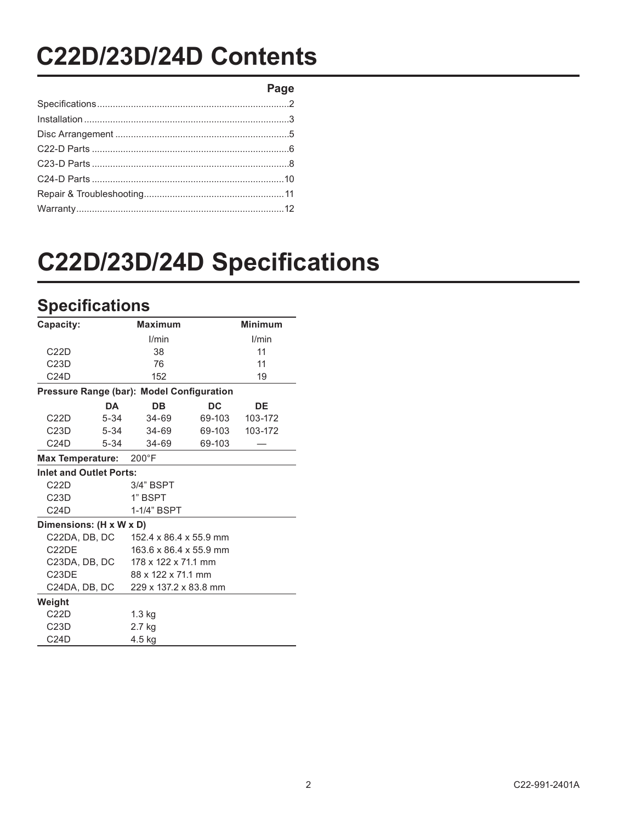## **C22D/23D/24D Contents**

**Page**

# **C22D/23D/24D Specifications**

### **Specifications**

| Capacity:                                 | <b>Maximum</b>         |           | <b>Minimum</b> |
|-------------------------------------------|------------------------|-----------|----------------|
|                                           | l/min                  |           | I/min          |
| C22D                                      | 38                     |           | 11             |
| C23D                                      | 76                     |           | 11             |
| C24D                                      | 152                    |           | 19             |
| Pressure Range (bar): Model Configuration |                        |           |                |
| DA                                        | DB                     | <b>DC</b> | DE             |
| C22D<br>$5 - 34$                          | $34 - 69$              | 69-103    | 103-172        |
| C23D<br>$5 - 34$                          | 34-69                  | 69-103    | 103-172        |
| C24D<br>$5 - 34$                          | 34-69                  | 69-103    |                |
| <b>Max Temperature:</b>                   | $200^{\circ}$ F        |           |                |
| <b>Inlet and Outlet Ports:</b>            |                        |           |                |
| C22D                                      | 3/4" BSPT              |           |                |
| C23D                                      | 1" BSPT                |           |                |
| C24D                                      | 1-1/4" BSPT            |           |                |
| Dimensions: (H x W x D)                   |                        |           |                |
| C22DA, DB, DC                             | 152.4 x 86.4 x 55.9 mm |           |                |
| C22DE                                     | 163.6 x 86.4 x 55.9 mm |           |                |
| C23DA, DB, DC                             | 178 x 122 x 71.1 mm    |           |                |
| C <sub>23</sub> DE                        | 88 x 122 x 71.1 mm     |           |                |
| C24DA, DB, DC                             | 229 x 137.2 x 83.8 mm  |           |                |
| Weight                                    |                        |           |                |
| C22D                                      | $1.3$ kg               |           |                |
| C <sub>23</sub> D                         | 2.7 kg                 |           |                |
| C24D                                      | 4.5 kg                 |           |                |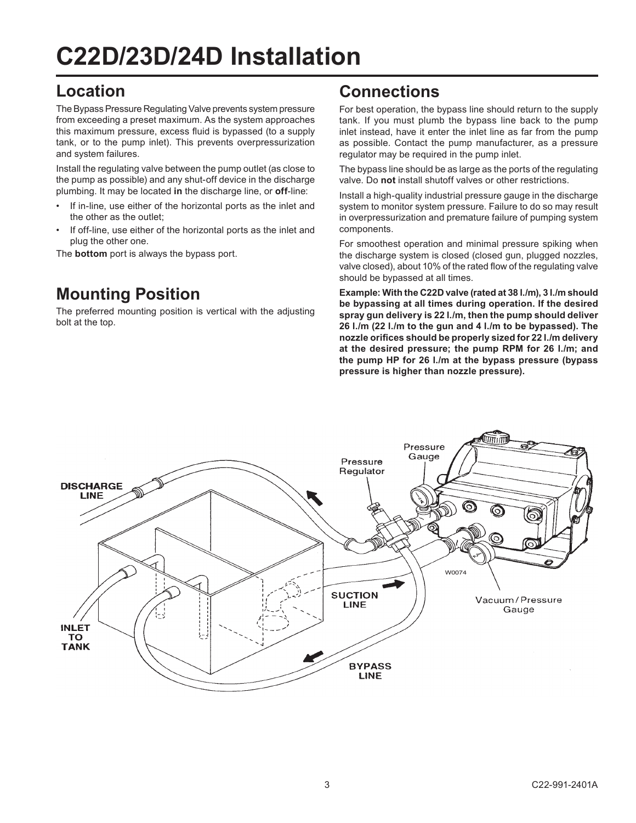## **C22D/23D/24D Installation**

### **Location**

The Bypass Pressure Regulating Valve prevents system pressure from exceeding a preset maximum. As the system approaches this maximum pressure, excess fluid is bypassed (to a supply tank, or to the pump inlet). This prevents overpressurization and system failures.

Install the regulating valve between the pump outlet (as close to the pump as possible) and any shut-off device in the discharge plumbing. It may be located **in** the discharge line, or **off**-line:

- If in-line, use either of the horizontal ports as the inlet and the other as the outlet;
- If off-line, use either of the horizontal ports as the inlet and plug the other one.

The **bottom** port is always the bypass port.

### **Mounting Position**

The preferred mounting position is vertical with the adjusting bolt at the top.

#### **Connections**

For best operation, the bypass line should return to the supply tank. If you must plumb the bypass line back to the pump inlet instead, have it enter the inlet line as far from the pump as possible. Contact the pump manufacturer, as a pressure regulator may be required in the pump inlet.

The bypass line should be as large as the ports of the regulating valve. Do **not** install shutoff valves or other restrictions.

Install a high-quality industrial pressure gauge in the discharge system to monitor system pressure. Failure to do so may result in overpressurization and premature failure of pumping system components.

For smoothest operation and minimal pressure spiking when the discharge system is closed (closed gun, plugged nozzles, valve closed), about 10% of the rated flow of the regulating valve should be bypassed at all times.

**Example: With the C22D valve (rated at 38 l./m), 3 l./m should be bypassing at all times during operation. If the desired spray gun delivery is 22 l./m, then the pump should deliver 26 l./m (22 l./m to the gun and 4 l./m to be bypassed). The nozzle orifices should be properly sized for 22 l./m delivery at the desired pressure; the pump RPM for 26 l./m; and the pump HP for 26 l./m at the bypass pressure (bypass pressure is higher than nozzle pressure).**

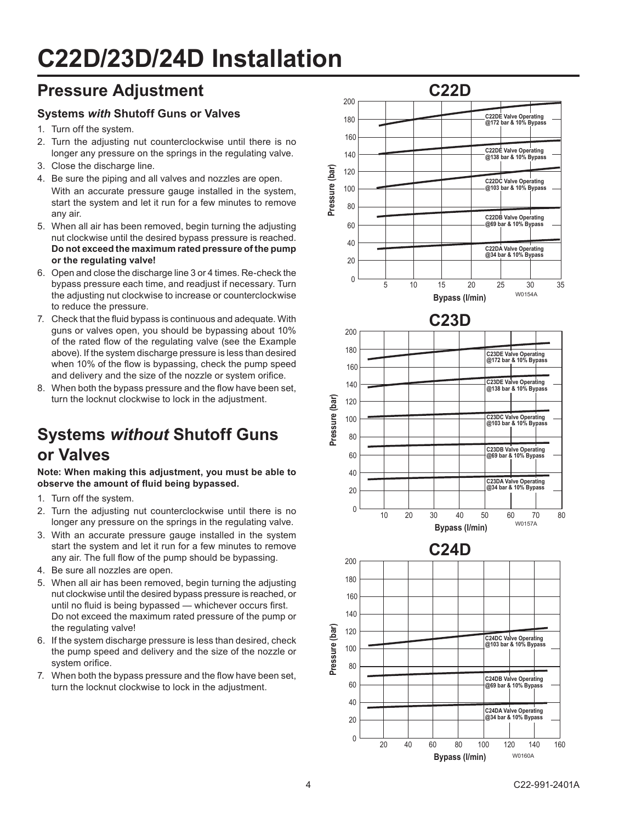## **C22D/23D/24D Installation**

### **Pressure Adjustment**

#### **Systems** *with* **Shutoff Guns or Valves**

- 1. Turn off the system.
- 2. Turn the adjusting nut counterclockwise until there is no longer any pressure on the springs in the regulating valve.
- 3. Close the discharge line.
- 4. Be sure the piping and all valves and nozzles are open. With an accurate pressure gauge installed in the system, start the system and let it run for a few minutes to remove any air.
- 5. When all air has been removed, begin turning the adjusting nut clockwise until the desired bypass pressure is reached. **Do not exceed the maximum rated pressure of the pump or the regulating valve!**
- 6. Open and close the discharge line 3 or 4 times. Re-check the bypass pressure each time, and readjust if necessary. Turn the adjusting nut clockwise to increase or counterclockwise to reduce the pressure.
- 7. Check that the fluid bypass is continuous and adequate. With guns or valves open, you should be bypassing about 10% of the rated flow of the regulating valve (see the Example above). If the system discharge pressure is less than desired when 10% of the flow is bypassing, check the pump speed and delivery and the size of the nozzle or system orifice.
- 8. When both the bypass pressure and the flow have been set, turn the locknut clockwise to lock in the adjustment.

## **Systems** *without* **Shutoff Guns or Valves**

**Note: When making this adjustment, you must be able to observe the amount of fluid being bypassed.**

- 1. Turn off the system.
- 2. Turn the adjusting nut counterclockwise until there is no longer any pressure on the springs in the regulating valve.
- 3. With an accurate pressure gauge installed in the system start the system and let it run for a few minutes to remove any air. The full flow of the pump should be bypassing.
- 4. Be sure all nozzles are open.
- 5. When all air has been removed, begin turning the adjusting nut clockwise until the desired bypass pressure is reached, or until no fluid is being bypassed — whichever occurs first. Do not exceed the maximum rated pressure of the pump or the regulating valve!
- 6. If the system discharge pressure is less than desired, check the pump speed and delivery and the size of the nozzle or system orifice.
- 7. When both the bypass pressure and the flow have been set, turn the locknut clockwise to lock in the adjustment.

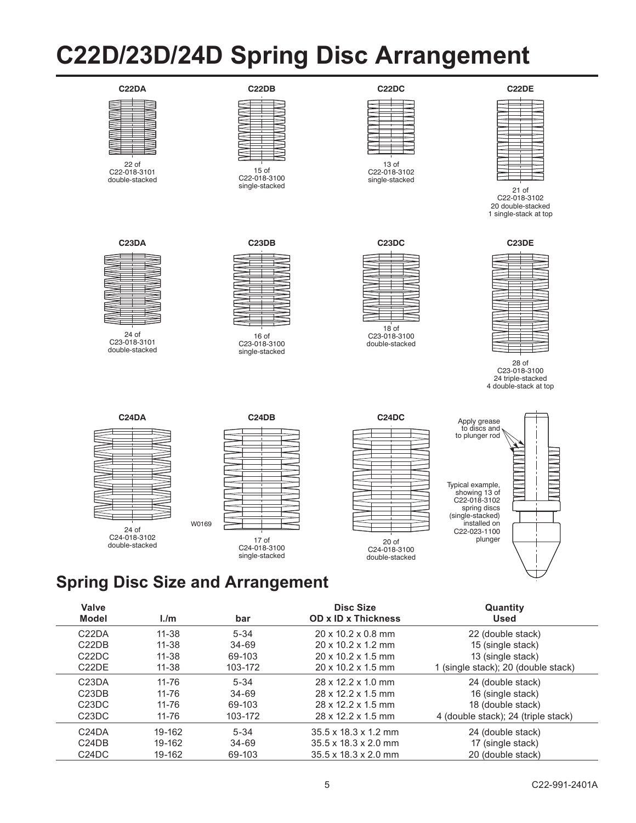## **C22D/23D/24D Spring Disc Arrangement**



22 of C22-018-3101 double-stacked





15 of C22-018-3100 single-stacked



13 of C22-018-3102 single-stacked



21 of C22-018-3102 20 double-stacked 1 single-stack at top



24 of C23-018-3101 double-stacked



16 of C23-018-3100 single-stacked

**C24DB**



C23-018-3100 double-stacked



28 of C23-018-3100 24 triple-stacked 4 double-stack at top





17 of C24-018-3100 single-stacked





### **Spring Disc Size and Arrangement**

W0169

| Valve<br>Model                 | 1/m       | bar       | Disc Size<br><b>OD x ID x Thickness</b> | Quantity<br>Used                    |
|--------------------------------|-----------|-----------|-----------------------------------------|-------------------------------------|
| C <sub>2</sub> 2DA             | $11 - 38$ | $5 - 34$  | $20 \times 10.2 \times 0.8$ mm          | 22 (double stack)                   |
| C22DB                          | $11 - 38$ | $34 - 69$ | $20 \times 10.2 \times 1.2$ mm          | 15 (single stack)                   |
| C22DC                          | $11 - 38$ | 69-103    | $20 \times 10.2 \times 1.5$ mm          | 13 (single stack)                   |
| C <sub>2</sub> 2D <sub>E</sub> | $11 - 38$ | 103-172   | $20 \times 10.2 \times 1.5$ mm          | 1 (single stack); 20 (double stack) |
| C <sub>23</sub> DA             | $11 - 76$ | $5 - 34$  | 28 x 12.2 x 1.0 mm                      | 24 (double stack)                   |
| C <sub>23</sub> DR             | $11 - 76$ | $34 - 69$ | 28 x 12.2 x 1.5 mm                      | 16 (single stack)                   |
| C23DC                          | $11 - 76$ | 69-103    | 28 x 12 2 x 1.5 mm                      | 18 (double stack)                   |
| C <sub>23</sub> D <sub>C</sub> | 11-76     | 103-172   | $28 \times 12.2 \times 1.5$ mm          | 4 (double stack); 24 (triple stack) |
| C <sub>24</sub> DA             | 19-162    | $5 - 34$  | $35.5 \times 18.3 \times 1.2$ mm        | 24 (double stack)                   |
| C <sub>24</sub> DB             | 19-162    | $34 - 69$ | $35.5 \times 18.3 \times 2.0$ mm        | 17 (single stack)                   |
| C24DC                          | 19-162    | 69-103    | $35.5 \times 18.3 \times 2.0$ mm        | 20 (double stack)                   |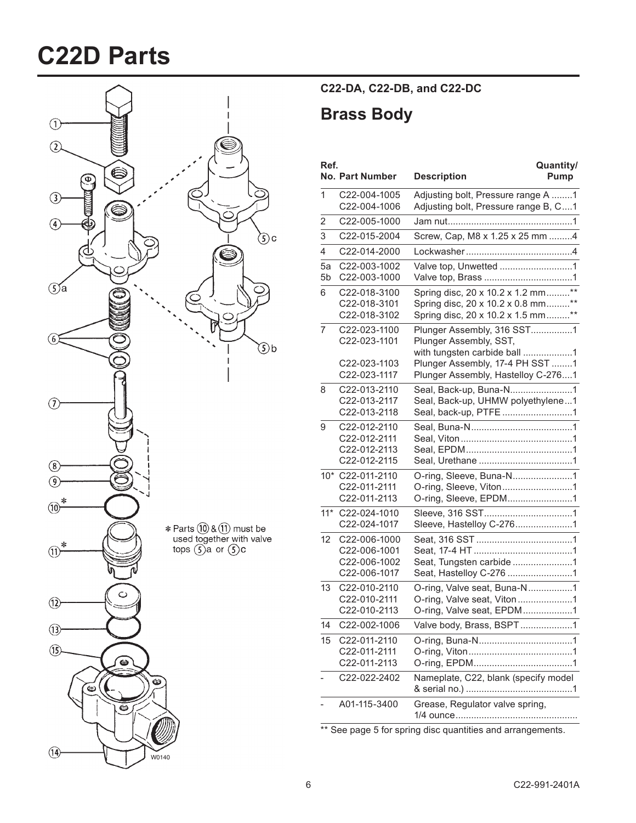## **C22D Parts**



#### **C22-DA, C22-DB, and C22-DC**

### **Brass Body**

| Ref.           | No. Part Number              | Quantity/<br><b>Description</b><br>Pump                                    |
|----------------|------------------------------|----------------------------------------------------------------------------|
| 1              | C22-004-1005<br>C22-004-1006 | Adjusting bolt, Pressure range A 1<br>Adjusting bolt, Pressure range B, C1 |
| 2              | C22-005-1000                 |                                                                            |
| 3              | C22-015-2004                 | Screw, Cap, M8 x 1.25 x 25 mm 4                                            |
| $\overline{4}$ | C22-014-2000                 |                                                                            |
| 5a             | C22-003-1002                 |                                                                            |
| 5b             | C22-003-1000                 |                                                                            |
| 6              | C22-018-3100                 | Spring disc, 20 x 10.2 x 1.2 mm**                                          |
|                | C22-018-3101                 | Spring disc, 20 x 10.2 x 0.8 mm**                                          |
|                | C22-018-3102                 | Spring disc, 20 x 10.2 x 1.5 mm**                                          |
| 7              | C22-023-1100<br>C22-023-1101 | Plunger Assembly, 316 SST1<br>Plunger Assembly, SST,                       |
|                |                              | with tungsten carbide ball 1                                               |
|                | C22-023-1103                 | Plunger Assembly, 17-4 PH SST 1                                            |
|                | C22-023-1117                 | Plunger Assembly, Hastelloy C-2761                                         |
| 8              | C22-013-2110                 | Seal, Back-up, Buna-N1                                                     |
|                | C22-013-2117                 | Seal, Back-up, UHMW polyethylene1                                          |
|                | C22-013-2118                 | Seal, back-up, PTFE 1                                                      |
| 9              | C22-012-2110                 |                                                                            |
|                | C22-012-2111<br>C22-012-2113 |                                                                            |
|                | C22-012-2115                 |                                                                            |
|                | 10* C22-011-2110             | O-ring, Sleeve, Buna-N1                                                    |
|                | C22-011-2111                 | O-ring, Sleeve, Viton1                                                     |
|                | C22-011-2113                 | O-ring, Sleeve, EPDM1                                                      |
| $11*$          | C22-024-1010                 |                                                                            |
|                | C22-024-1017                 | Sleeve, Hastelloy C-2761                                                   |
| 12             | C22-006-1000                 |                                                                            |
|                | C22-006-1001                 |                                                                            |
|                | C22-006-1002<br>C22-006-1017 | Seat, Tungsten carbide 1<br>Seat, Hastelloy C-276 1                        |
| 13             | C22-010-2110                 | O-ring, Valve seat, Buna-N1                                                |
|                | C22-010-2111                 | O-ring, Valve seat, Viton1                                                 |
|                | C22-010-2113                 | O-ring, Valve seat, EPDM1                                                  |
| 14             | C22-002-1006                 | Valve body, Brass, BSPT1                                                   |
| 15             | C22-011-2110                 |                                                                            |
|                | C22-011-2111                 |                                                                            |
|                | C22-011-2113                 |                                                                            |
|                | C22-022-2402                 | Nameplate, C22, blank (specify model                                       |
|                | A01-115-3400                 | Grease, Regulator valve spring,                                            |
|                |                              |                                                                            |

\*\* See page 5 for spring disc quantities and arrangements.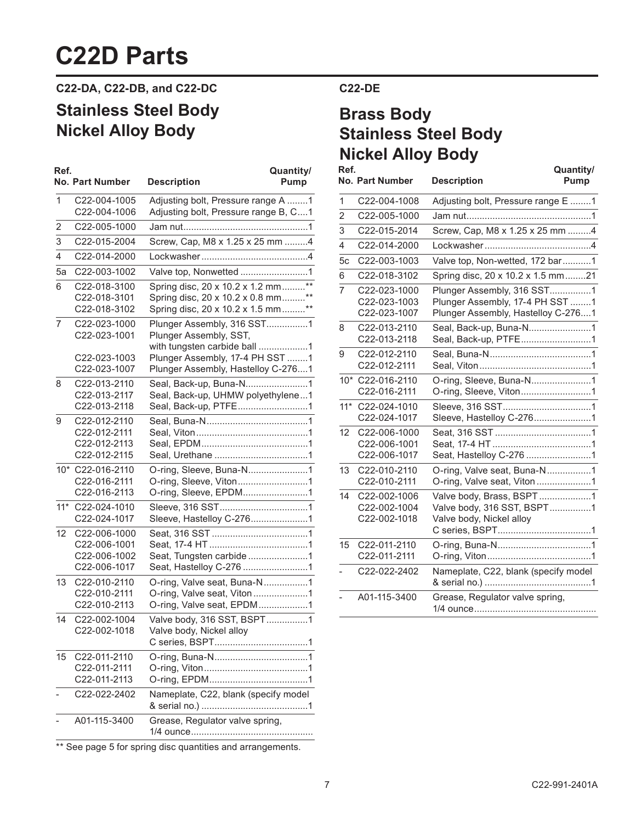## **C22D Parts**

**C22-DA, C22-DB, and C22-DC**

### **Stainless Steel Body Nickel Alloy Body**

| Ref.  | <b>No. Part Number</b>                                       | Quantity/<br><b>Description</b><br>Pump                                                                     |
|-------|--------------------------------------------------------------|-------------------------------------------------------------------------------------------------------------|
| 1     | C22-004-1005<br>C22-004-1006                                 | Adjusting bolt, Pressure range A 1<br>Adjusting bolt, Pressure range B, C1                                  |
| 2     | C22-005-1000                                                 |                                                                                                             |
| 3     | C22-015-2004                                                 | Screw, Cap, M8 x 1.25 x 25 mm 4                                                                             |
| 4     | C22-014-2000                                                 |                                                                                                             |
| 5a    | C22-003-1002                                                 | Valve top, Nonwetted 1                                                                                      |
| 6     | C22-018-3100<br>C22-018-3101<br>C22-018-3102                 | Spring disc, 20 x 10.2 x 1.2 mm**<br>Spring disc, 20 x 10.2 x 0.8 mm**<br>Spring disc, 20 x 10.2 x 1.5 mm** |
| 7     | C22-023-1000<br>C22-023-1001                                 | Plunger Assembly, 316 SST1<br>Plunger Assembly, SST,<br>with tungsten carbide ball 1                        |
|       | C22-023-1003<br>C22-023-1007                                 | Plunger Assembly, 17-4 PH SST 1<br>Plunger Assembly, Hastelloy C-2761                                       |
| 8     | C22-013-2110<br>C22-013-2117<br>C22-013-2118                 | Seal, Back-up, Buna-N1<br>Seal, Back-up, UHMW polyethylene1<br>Seal, Back-up, PTFE1                         |
| 9     | C22-012-2110<br>C22-012-2111<br>C22-012-2113<br>C22-012-2115 |                                                                                                             |
| $10*$ | C22-016-2110<br>C22-016-2111<br>C22-016-2113                 | O-ring, Sleeve, Buna-N1<br>O-ring, Sleeve, Viton1<br>O-ring, Sleeve, EPDM1                                  |
| $11*$ | C22-024-1010<br>C22-024-1017                                 | Sleeve, Hastelloy C-2761                                                                                    |
| 12    | C22-006-1000<br>C22-006-1001<br>C22-006-1002<br>C22-006-1017 | Seat, Tungsten carbide 1<br>Seat, Hastelloy C-276 1                                                         |
| 13    | C22-010-2110<br>C22-010-2111<br>C22-010-2113                 | O-ring, Valve seat, Buna-N1<br>O-ring, Valve seat, Viton1<br>O-ring, Valve seat, EPDM1                      |
| 14    | C22-002-1004<br>C22-002-1018                                 | Valve body, 316 SST, BSPT1<br>Valve body, Nickel alloy                                                      |
| 15    | C22-011-2110<br>C22-011-2111<br>C22-011-2113                 |                                                                                                             |
|       | C22-022-2402                                                 | Nameplate, C22, blank (specify model                                                                        |
|       | A01-115-3400                                                 | Grease, Regulator valve spring,                                                                             |

\*\* See page 5 for spring disc quantities and arrangements.

#### **C22-DE**

### **Brass Body Stainless Steel Body Nickel Alloy Body**

| Ref.           |                                              | Quantity/                                                                                           |
|----------------|----------------------------------------------|-----------------------------------------------------------------------------------------------------|
|                | <b>No. Part Number</b>                       | <b>Description</b><br>Pump                                                                          |
| 1              | C22-004-1008                                 | Adjusting bolt, Pressure range E 1                                                                  |
| $\overline{2}$ | C22-005-1000                                 |                                                                                                     |
| 3              | C22-015-2014                                 | Screw, Cap, M8 x 1.25 x 25 mm 4                                                                     |
| 4              | C22-014-2000                                 |                                                                                                     |
| 5c             | C22-003-1003                                 | Valve top, Non-wetted, 172 bar1                                                                     |
| 6              | C22-018-3102                                 | Spring disc, 20 x 10.2 x 1.5 mm21                                                                   |
| 7              | C22-023-1000<br>C22-023-1003<br>C22-023-1007 | Plunger Assembly, 316 SST1<br>Plunger Assembly, 17-4 PH SST 1<br>Plunger Assembly, Hastelloy C-2761 |
| 8              | C22-013-2110<br>C22-013-2118                 | Seal, Back-up, Buna-N1<br>Seal, Back-up, PTFE1                                                      |
| 9              | C22-012-2110<br>C22-012-2111                 |                                                                                                     |
| $10*$          | C22-016-2110<br>C22-016-2111                 |                                                                                                     |
| $11*$          | C22-024-1010<br>C22-024-1017                 | Sleeve, Hastelloy C-2761                                                                            |
| 12             | C22-006-1000<br>C22-006-1001<br>C22-006-1017 | Seat, Hastelloy C-276 1                                                                             |
| 13             | C22-010-2110<br>C22-010-2111                 | O-ring, Valve seat, Buna-N1                                                                         |
| 14             | C22-002-1006<br>C22-002-1004<br>C22-002-1018 | Valve body, Brass, BSPT1<br>Valve body, 316 SST, BSPT1<br>Valve body, Nickel alloy                  |
| 15             | C22-011-2110<br>C22-011-2111                 |                                                                                                     |
|                | C22-022-2402                                 | Nameplate, C22, blank (specify model                                                                |
|                | A01-115-3400                                 | Grease, Regulator valve spring,                                                                     |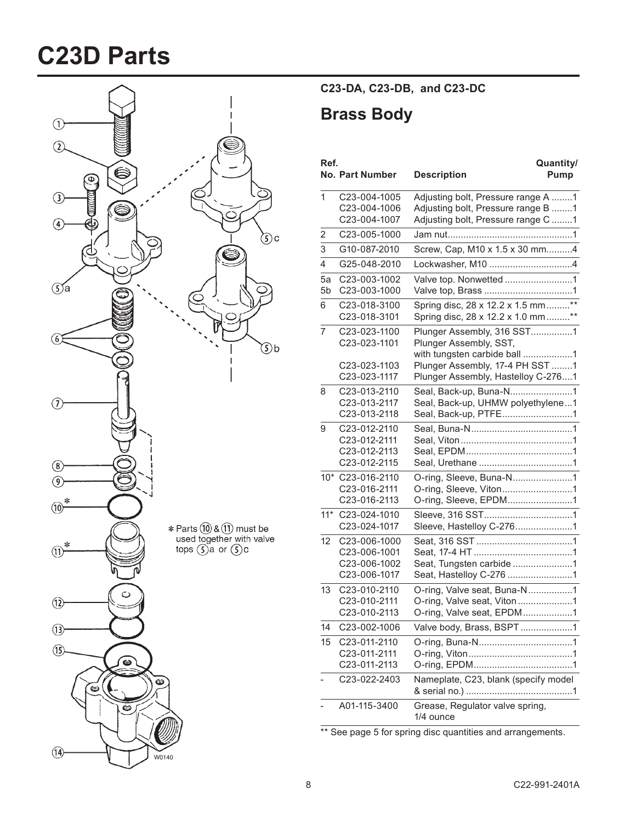## **C23D Parts**



**C23-DA, C23-DB, and C23-DC**

### **Brass Body**

| Ref.           | <b>No. Part Number</b>                                       | Quantity/<br><b>Description</b><br>Pump                                                                        |
|----------------|--------------------------------------------------------------|----------------------------------------------------------------------------------------------------------------|
| 1              | C23-004-1005<br>C23-004-1006<br>C23-004-1007                 | Adjusting bolt, Pressure range A 1<br>Adjusting bolt, Pressure range B 1<br>Adjusting bolt, Pressure range C 1 |
| 2              | C23-005-1000                                                 |                                                                                                                |
| 3              | G10-087-2010                                                 | Screw, Cap, M10 x 1.5 x 30 mm4                                                                                 |
| 4              | G25-048-2010                                                 |                                                                                                                |
| 5a<br>5b       | C23-003-1002<br>C23-003-1000                                 | Valve top. Nonwetted 1                                                                                         |
| 6              | C23-018-3100<br>C23-018-3101                                 | Spring disc, 28 x 12.2 x 1.5 mm**<br>Spring disc, 28 x 12.2 x 1.0 mm**                                         |
| $\overline{7}$ | C23-023-1100<br>C23-023-1101                                 | Plunger Assembly, 316 SST1<br>Plunger Assembly, SST,<br>with tungsten carbide ball 1                           |
|                | C23-023-1103<br>C23-023-1117                                 | Plunger Assembly, 17-4 PH SST 1<br>Plunger Assembly, Hastelloy C-2761                                          |
| 8              | C23-013-2110<br>C23-013-2117<br>C23-013-2118                 | Seal, Back-up, UHMW polyethylene1<br>Seal, Back-up, PTFE1                                                      |
| 9              | C23-012-2110<br>C23-012-2111<br>C23-012-2113<br>C23-012-2115 |                                                                                                                |
|                | 10* C23-016-2110<br>C23-016-2111<br>C23-016-2113             | O-ring, Sleeve, Viton1<br>O-ring, Sleeve, EPDM1                                                                |
| $11*$          | C23-024-1010<br>C23-024-1017                                 |                                                                                                                |
| 12             | C23-006-1000<br>C23-006-1001<br>C23-006-1002<br>C23-006-1017 | Seat, Tungsten carbide 1<br>Seat, Hastelloy C-276 1                                                            |
| 13             | C23-010-2110<br>C23-010-2111<br>C23-010-2113                 | O-ring, Valve seat, Buna-N1<br>O-ring, Valve seat, Viton1<br>O-ring, Valve seat, EPDM1                         |
| 14             | C23-002-1006                                                 | Valve body, Brass, BSPT1                                                                                       |
| 15             | C23-011-2110<br>C23-011-2111<br>C23-011-2113                 |                                                                                                                |
|                | C23-022-2403                                                 | Nameplate, C23, blank (specify model                                                                           |
|                | A01-115-3400                                                 | Grease, Regulator valve spring,<br>1/4 ounce                                                                   |

\*\* See page 5 for spring disc quantities and arrangements.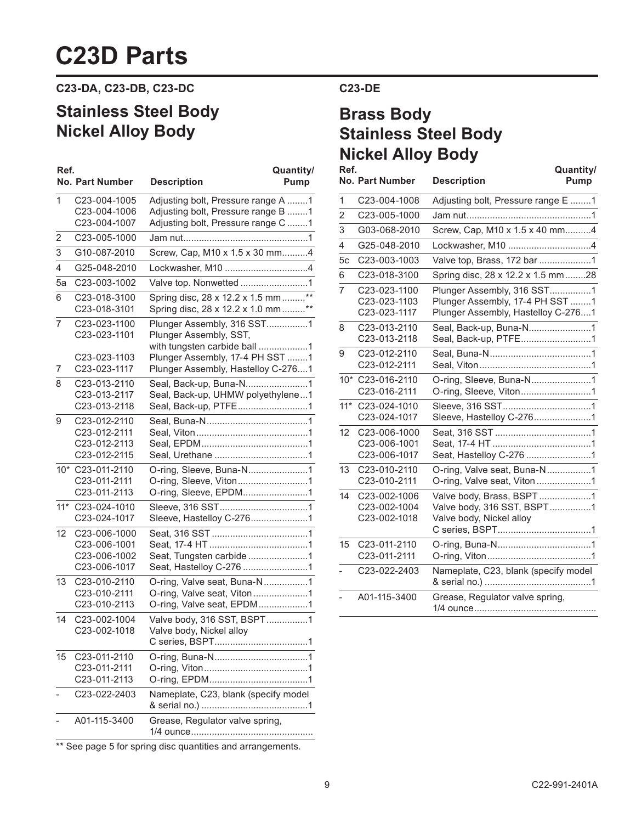## **C23D Parts**

**C23-DA, C23-DB, C23-DC**

### **Stainless Steel Body Nickel Alloy Body**

| Ref.  |                                                              | Quantity/                                                                                                      |
|-------|--------------------------------------------------------------|----------------------------------------------------------------------------------------------------------------|
|       | <b>No. Part Number</b>                                       | <b>Description</b><br>Pump                                                                                     |
| 1     | C23-004-1005<br>C23-004-1006<br>C23-004-1007                 | Adjusting bolt, Pressure range A 1<br>Adjusting bolt, Pressure range B 1<br>Adjusting bolt, Pressure range C 1 |
| 2     | C23-005-1000                                                 |                                                                                                                |
| 3     | G10-087-2010                                                 | Screw, Cap, M10 x 1.5 x 30 mm4                                                                                 |
| 4     | G25-048-2010                                                 | Lockwasher, M10 4                                                                                              |
| 5a    | C23-003-1002                                                 | Valve top. Nonwetted 1                                                                                         |
| 6     | C23-018-3100<br>C23-018-3101                                 | Spring disc, 28 x 12.2 x 1.5 mm**<br>Spring disc, 28 x 12.2 x 1.0 mm **                                        |
| 7     | C23-023-1100<br>C23-023-1101                                 | Plunger Assembly, 316 SST1<br>Plunger Assembly, SST,<br>with tungsten carbide ball 1                           |
| 7     | C23-023-1103<br>C23-023-1117                                 | Plunger Assembly, 17-4 PH SST 1<br>Plunger Assembly, Hastelloy C-2761                                          |
| 8     | C23-013-2110<br>C23-013-2117<br>C23-013-2118                 | Seal, Back-up, Buna-N1<br>Seal, Back-up, UHMW polyethylene1<br>Seal, Back-up, PTFE1                            |
| 9     | C23-012-2110<br>C23-012-2111<br>C23-012-2113<br>C23-012-2115 |                                                                                                                |
|       | 10* C23-011-2110<br>C23-011-2111<br>C23-011-2113             | O-ring, Sleeve, Buna-N1<br>O-ring, Sleeve, Viton1<br>O-ring, Sleeve, EPDM1                                     |
| $11*$ | C23-024-1010<br>C23-024-1017                                 | Sleeve, Hastelloy C-2761                                                                                       |
| 12    | C23-006-1000<br>C23-006-1001<br>C23-006-1002<br>C23-006-1017 | Seat, Tungsten carbide 1<br>Seat, Hastelloy C-276 1                                                            |
| 13    | C23-010-2110<br>C23-010-2111<br>C23-010-2113                 | O-ring, Valve seat, Buna-N1<br>O-ring, Valve seat, Viton 1<br>O-ring, Valve seat, EPDM1                        |
| 14    | C23-002-1004<br>C23-002-1018                                 | Valve body, 316 SST, BSPT1<br>Valve body, Nickel alloy                                                         |
| 15    | C23-011-2110<br>C23-011-2111<br>C23-011-2113                 |                                                                                                                |
|       | C23-022-2403                                                 | Nameplate, C23, blank (specify model                                                                           |
|       | A01-115-3400                                                 | Grease, Regulator valve spring,                                                                                |

\*\* See page 5 for spring disc quantities and arrangements.

#### **C23-DE**

## **Brass Body Stainless Steel Body Nickel Alloy Body**

| Ref.           | <b>No. Part Number</b>                       | Quantity/<br><b>Description</b><br>Pump                                                             |
|----------------|----------------------------------------------|-----------------------------------------------------------------------------------------------------|
| 1              | C23-004-1008                                 | Adjusting bolt, Pressure range E 1                                                                  |
| $\overline{2}$ | C23-005-1000                                 |                                                                                                     |
| 3              | G03-068-2010                                 | Screw, Cap, M10 x 1.5 x 40 mm4                                                                      |
| $\overline{4}$ | G25-048-2010                                 | Lockwasher, M10 4                                                                                   |
| 5c             | C23-003-1003                                 | Valve top, Brass, 172 bar 1                                                                         |
| 6              | C23-018-3100                                 | Spring disc, 28 x 12.2 x 1.5 mm28                                                                   |
| 7              | C23-023-1100<br>C23-023-1103<br>C23-023-1117 | Plunger Assembly, 316 SST1<br>Plunger Assembly, 17-4 PH SST 1<br>Plunger Assembly, Hastelloy C-2761 |
| 8              | C23-013-2110<br>C23-013-2118                 | Seal, Back-up, Buna-N1<br>Seal, Back-up, PTFE1                                                      |
| 9              | C23-012-2110<br>C23-012-2111                 |                                                                                                     |
| $10*$          | C23-016-2110<br>C23-016-2111                 | O-ring, Sleeve, Buna-N1<br>O-ring, Sleeve, Viton1                                                   |
| $11*$          | C23-024-1010<br>C23-024-1017                 | Sleeve, Hastelloy C-2761                                                                            |
| 12             | C23-006-1000<br>C23-006-1001<br>C23-006-1017 | Seat, Hastelloy C-276 1                                                                             |
| 13             | C23-010-2110<br>C23-010-2111                 | O-ring, Valve seat, Buna-N1<br>O-ring, Valve seat, Viton 1                                          |
| 14             | C23-002-1006<br>C23-002-1004<br>C23-002-1018 | Valve body, Brass, BSPT1<br>Valve body, 316 SST, BSPT1<br>Valve body, Nickel alloy                  |
| 15             | C23-011-2110<br>C23-011-2111                 |                                                                                                     |
|                | C23-022-2403                                 | Nameplate, C23, blank (specify model                                                                |
|                | A01-115-3400                                 | Grease, Regulator valve spring,                                                                     |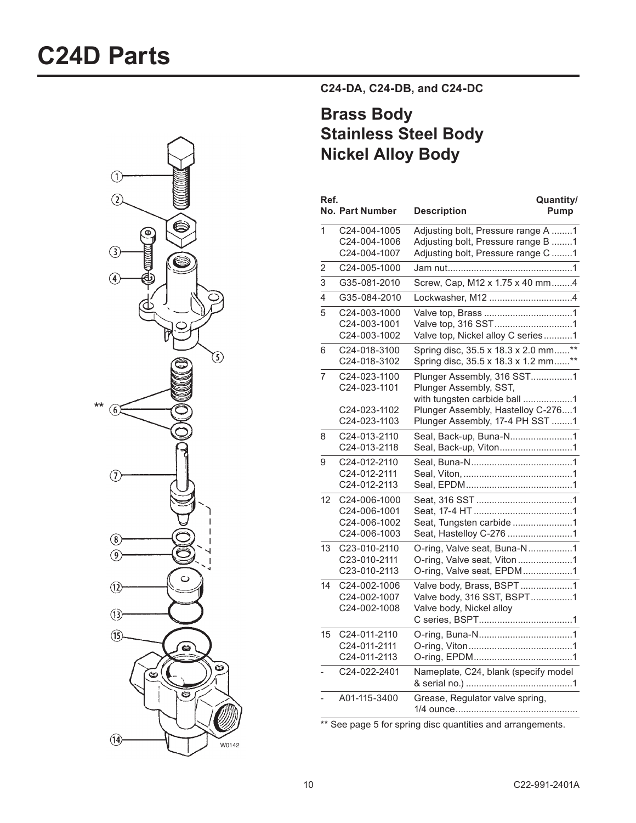

**C24-DA, C24-DB, and C24-DC**

### **Brass Body Stainless Steel Body Nickel Alloy Body**

| Ref.         | <b>No. Part Number</b>                                       | Quantity/<br><b>Description</b><br>Pump                                                                                                                       |
|--------------|--------------------------------------------------------------|---------------------------------------------------------------------------------------------------------------------------------------------------------------|
| $\mathbf{1}$ | C24-004-1005<br>C24-004-1006<br>C24-004-1007                 | Adjusting bolt, Pressure range A 1<br>Adjusting bolt, Pressure range B 1<br>Adjusting bolt, Pressure range C 1                                                |
| 2            | C24-005-1000                                                 |                                                                                                                                                               |
| 3            | G35-081-2010                                                 | Screw, Cap, M12 x 1.75 x 40 mm4                                                                                                                               |
| 4            | G35-084-2010                                                 | Lockwasher, M12 4                                                                                                                                             |
| 5            | C24-003-1000<br>C24-003-1001<br>C24-003-1002                 | Valve top, Nickel alloy C series1                                                                                                                             |
| 6            | C24-018-3100<br>C24-018-3102                                 | Spring disc, 35.5 x 18.3 x 2.0 mm**<br>Spring disc, 35.5 x 18.3 x 1.2 mm**                                                                                    |
| 7            | C24-023-1100<br>C24-023-1101<br>C24-023-1102<br>C24-023-1103 | Plunger Assembly, 316 SST1<br>Plunger Assembly, SST,<br>with tungsten carbide ball 1<br>Plunger Assembly, Hastelloy C-2761<br>Plunger Assembly, 17-4 PH SST 1 |
| 8            | C24-013-2110<br>C24-013-2118                                 | Seal, Back-up, Buna-N1<br>Seal, Back-up, Viton1                                                                                                               |
| 9            | C24-012-2110<br>C24-012-2111<br>C24-012-2113                 |                                                                                                                                                               |
| 12           | C24-006-1000<br>C24-006-1001<br>C24-006-1002<br>C24-006-1003 | Seat, Tungsten carbide1<br>Seat, Hastelloy C-276 1                                                                                                            |
| 13           | C23-010-2110<br>C23-010-2111<br>C23-010-2113                 | O-ring, Valve seat, Buna-N1<br>O-ring, Valve seat, Viton1<br>O-ring, Valve seat, EPDM1                                                                        |
| 14           | C24-002-1006<br>C24-002-1007<br>C24-002-1008                 | Valve body, Brass, BSPT1<br>Valve body, 316 SST, BSPT1<br>Valve body, Nickel alloy                                                                            |
| 15           | C24-011-2110<br>C24-011-2111<br>C24-011-2113                 |                                                                                                                                                               |
|              | C24-022-2401                                                 | Nameplate, C24, blank (specify model                                                                                                                          |
|              | A01-115-3400                                                 | Grease, Regulator valve spring,                                                                                                                               |

\*\* See page 5 for spring disc quantities and arrangements.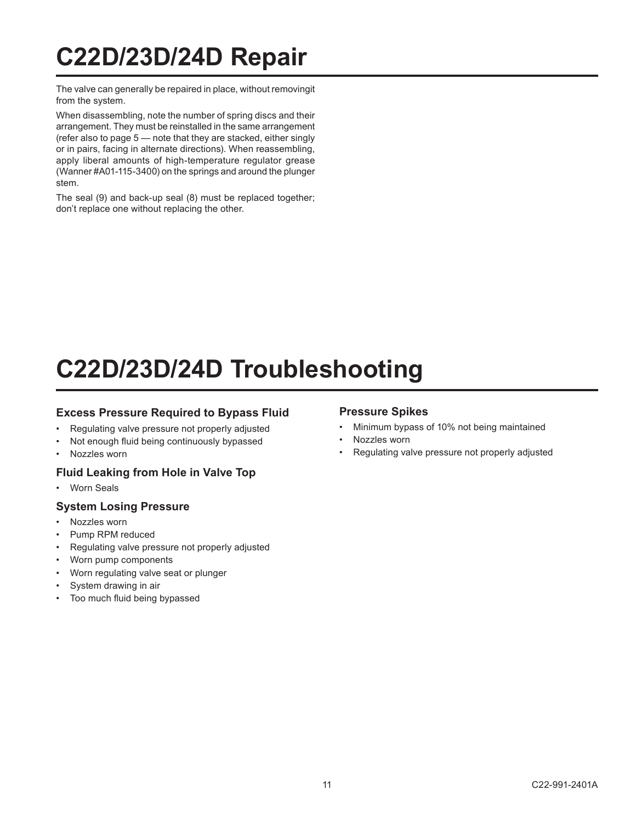## **C22D/23D/24D Repair**

The valve can generally be repaired in place, without removingit from the system.

When disassembling, note the number of spring discs and their arrangement. They must be reinstalled in the same arrangement (refer also to page 5 — note that they are stacked, either singly or in pairs, facing in alternate directions). When reassembling, apply liberal amounts of high-temperature regulator grease (Wanner #A01-115-3400) on the springs and around the plunger stem.

The seal (9) and back-up seal (8) must be replaced together; don't replace one without replacing the other.

## **C22D/23D/24D Troubleshooting**

#### **Excess Pressure Required to Bypass Fluid**

- Regulating valve pressure not properly adjusted
- Not enough fluid being continuously bypassed
- Nozzles worn

#### **Fluid Leaking from Hole in Valve Top**

Worn Seals

#### **System Losing Pressure**

- Nozzles worn
- Pump RPM reduced
- Regulating valve pressure not properly adjusted
- Worn pump components
- Worn regulating valve seat or plunger
- System drawing in air
- Too much fluid being bypassed

#### **Pressure Spikes**

- Minimum bypass of 10% not being maintained
- Nozzles worn
- Regulating valve pressure not properly adjusted